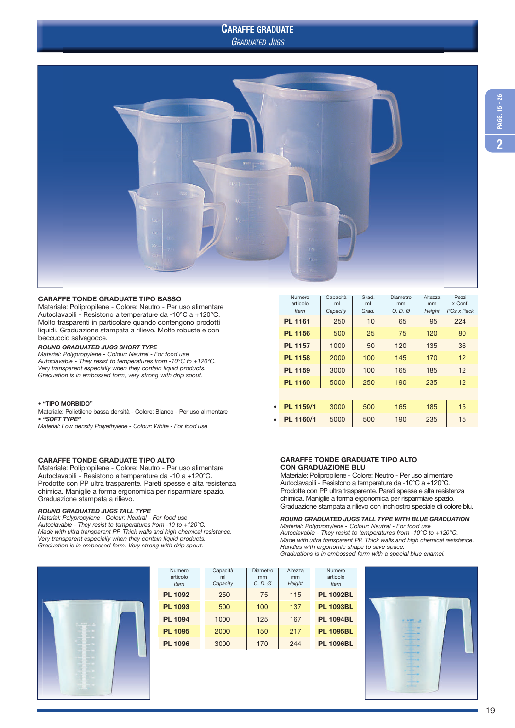# CARAFFE GRADUATE

GRADUATED JUGS





# CARAFFE TONDE GRADUATE TIPO BASSO

Materiale: Polipropilene - Colore: Neutro - Per uso alimentare Autoclavabili - Resistono a temperature da -10°C a +120°C. Molto trasparenti in particolare quando contengono prodotti liquidi. Graduazione stampata a rilievo. Molto robuste e con beccuccio salvagocce.

### ROUND GRADUATED JUGS SHORT TYPE

Material: Polypropylene - Colour: Neutral - For food use Autoclavable - They resist to temperatures from -10°C to +120°C. Very transparent especially when they contain liquid products. Graduation is in embossed form, very strong with drip spout.

### • "TIPO MORBIDO"

Materiale: Polietilene bassa densità - Colore: Bianco - Per uso alimentare • "SOFT TYPE"

Material: Low density Polyethylene - Colour: White - For food use

# CARAFFE TONDE GRADUATE TIPO ALTO

Materiale: Polipropilene - Colore: Neutro - Per uso alimentare Autoclavabili - Resistono a temperature da -10 a +120°C. Prodotte con PP ultra trasparente. Pareti spesse e alta resistenza chimica. Maniglie a forma ergonomica per risparmiare spazio. Graduazione stampata a rilievo.

#### ROUND GRADUATED JUGS TALL TYPE

Material: Polypropylene - Colour: Neutral - For food use Autoclavable - They resist to temperatures from -10 to +120°C. Made with ultra transparent PP. Thick walls and high chemical resistance. Very transparent especially when they contain liquid products. Graduation is in embossed form. Very strong with drip spout.



| Numero<br>articolo | Capacità<br>ml | Diametro<br>mm    | Altezza<br>mm | Numero<br>articolo |
|--------------------|----------------|-------------------|---------------|--------------------|
| <b>Item</b>        | Capacity       | $O. D. \emptyset$ | Height        | <b>Item</b>        |
| <b>PL 1092</b>     | 250            | 75                | 115           | <b>PL 1092BL</b>   |
| <b>PL 1093</b>     | 500            | 100               | 137           | <b>PL 1093BL</b>   |
| <b>PL 1094</b>     | 1000           | 125               | 167           | <b>PL 1094BL</b>   |
| <b>PL 1095</b>     | 2000           | 150               | 217           | <b>PL 1095BL</b>   |
| <b>PL 1096</b>     | 3000           | 170               | 244           | <b>PL 1096BL</b>   |
|                    |                |                   |               |                    |

|   | Numero<br>articolo | Capacità<br>ml | Grad.<br>ml | Diametro<br>mm    | Altezza<br>mm | Pezzi<br>x Conf.  |
|---|--------------------|----------------|-------------|-------------------|---------------|-------------------|
|   | <b>Item</b>        | Capacity       | Grad.       | $O. D. \emptyset$ | Height        | <b>PCs x Pack</b> |
|   | <b>PL 1161</b>     | 250            | 10          | 65                | 95            | 224               |
|   | <b>PL 1156</b>     | 500            | 25          | 75                | 120           | 80                |
|   | <b>PL 1157</b>     | 1000           | 50          | 120               | 135           | 36                |
|   | <b>PL 1158</b>     | 2000           | 100         | 145               | 170           | 12                |
|   | <b>PL 1159</b>     | 3000           | 100         | 165               | 185           | 12                |
|   | <b>PL 1160</b>     | 5000           | 250         | 190               | 235           | 12                |
|   |                    |                |             |                   |               |                   |
| ٠ | PL 1159/1          | 3000           | 500         | 165               | 185           | 15                |
| ٠ | PL 1160/1          | 5000           | 500         | 190               | 235           | 15                |
|   |                    |                |             |                   |               |                   |

# CARAFFE TONDE GRADUATE TIPO ALTO CON GRADUAZIONE BLU

Materiale: Polipropilene - Colore: Neutro - Per uso alimentare Autoclavabili - Resistono a temperature da -10°C a +120°C. Prodotte con PP ultra trasparente. Pareti spesse e alta resistenza chimica. Maniglie a forma ergonomica per risparmiare spazio. Graduazione stampata a rilievo con inchiostro speciale di colore blu.

# ROUND GRADUATED JUGS TALL TYPE WITH BLUE GRADUATION

Material: Polypropylene - Colour: Neutral - For food use Autoclavable - They resist to temperatures from -10°C to +120°C. Made with ultra transparent PP. Thick walls and high chemical resistance. Handles with ergonomic shape to save space.

Graduations is in embossed form with a special blue enamel.

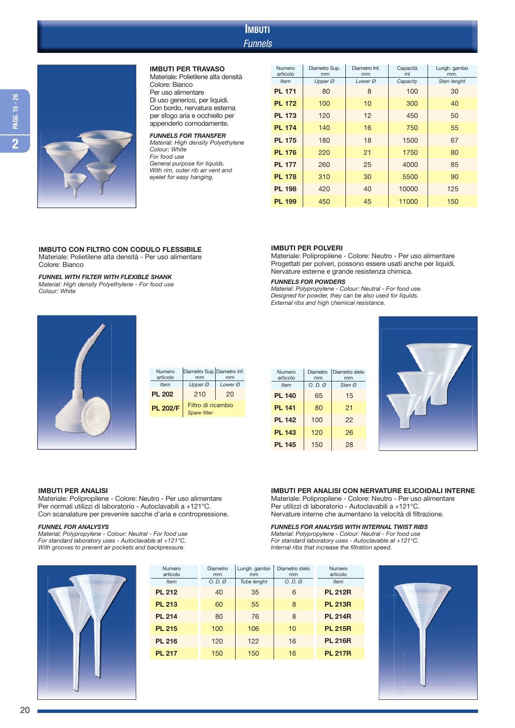# **Funnels** IMBUTI



### IMBUTI PER TRAVASO

Materiale: Polietilene alta densità Colore: Bianco Per uso alimentare Di uso generico, per liquidi. Con bordo, nervatura esterna per sfogo aria e occhiello per appenderlo comodamente.

FUNNELS FOR TRANSFER Material: High density Polyethylene Colour: White For food use General purpose for liquids. With rim, outer rib air vent and eyelet for easy hanging.

| Numero<br>articolo | Diametro Sup.<br>mm | Diametro Inf.<br>mm | Capacità<br>ml | Lungh. gambo<br>mm. |
|--------------------|---------------------|---------------------|----------------|---------------------|
| <b>Item</b>        | Upper Ø             | Lower Ø             | Capacity       | Sten lenght         |
| <b>PL 171</b>      | 80                  | 8                   | 100            | 30                  |
| <b>PL 172</b>      | 100                 | 10                  | 300            | 40                  |
| <b>PL 173</b>      | 120                 | 12                  | 450            | 50                  |
| <b>PL 174</b>      | 140                 | 16                  | 750            | 55                  |
| <b>PL 175</b>      | 180                 | 18                  | 1500           | 67                  |
| <b>PL 176</b>      | 220                 | 21                  | 1750           | 80                  |
| <b>PL 177</b>      | 260                 | 25                  | 4000           | 85                  |
| <b>PL 178</b>      | 310                 | 30                  | 5500           | 90                  |
| <b>PL 198</b>      | 420                 | 40                  | 10000          | 125                 |
| <b>PL 199</b>      | 450                 | 45                  | 11000          | 150                 |

Materiale: Polipropilene - Colore: Neutro - Per uso alimentare Progettati per polveri, possono essere usati anche per liquidi.

Nervature esterne e grande resistenza chimica.

External ribs and high chemical resistance.

Material: Polypropylene - Colour: Neutral - For food use. Designed for powder, they can be also used for liquids.

# IMBUTO CON FILTRO CON CODULO FLESSIBILE

Materiale: Polietilene alta densità - Per uso alimentare Colore: Bianco

#### FUNNEL WITH FILTER WITH FLEXIBLE SHANK

Material: High density Polyethylene - For food use Colour: White



| Numero<br>articolo | Diametro Sup. Diametro Inf.<br>mm  | mm      |
|--------------------|------------------------------------|---------|
| <b>Item</b>        | Upper Ø                            | Lower Ø |
| <b>PL 202</b>      | 210                                | 20      |
| <b>PL 202/F</b>    | Filtro di ricambio<br>Spare filter |         |

| Numero<br>articolo | Diametro | Diametro stelo |
|--------------------|----------|----------------|
|                    | mm       | mm             |
| <b>Item</b>        | O. D. Q  | Sten Ø         |
| <b>PL 140</b>      | 65       | 15             |
| <b>PL 141</b>      | 80       | 21             |
| <b>PL 142</b>      | 100      | 22             |
| <b>PL 143</b>      | 120      | 26             |
| <b>PL 145</b>      | 150      | 28             |

IMBUTI PER POLVERI

FUNNELS FOR POWDERS



# IMBUTI PER ANALISI

Materiale: Polipropilene - Colore: Neutro - Per uso alimentare Per normali utilizzi di laboratorio - Autoclavabili a +121°C. Con scanalature per prevenire sacche d'aria e contropressione.

# FUNNEL FOR ANALYSYS

Material: Polypropylene - Colour: Neutral - For food use For standard laboratory uses - Autoclavable at +121°C. With grooves to prevent air pockets and backpressure.

# IMBUTI PER ANALISI CON NERVATURE ELICOIDALI INTERNE

Materiale: Polipropilene - Colore: Neutro - Per uso alimentare Per utilizzi di laboratorio - Autoclavabili a +121°C. Nervature interne che aumentano la velocità di filtrazione.

# FUNNELS FOR ANALYSIS WITH INTERNAL TWIST RIBS

Material: Polypropylene - Colour: Neutral - For food use For standard laboratory uses - Autoclavable at +121°C. Internal ribs that increase the filtration speed.



| Numero<br>articolo | Diametro<br>mm    | Lungh. gambo<br>mm | Diametro stelo<br>mm | Numero<br>articolo |
|--------------------|-------------------|--------------------|----------------------|--------------------|
| <b>Item</b>        | $O. D. \emptyset$ | Tube lenght        | $O. D. \emptyset$    | <b>Item</b>        |
| <b>PL 212</b>      | 40                | 35                 | 6                    | <b>PL 212R</b>     |
| <b>PL 213</b>      | 60                | 55                 | 8                    | <b>PL 213R</b>     |
| <b>PL 214</b>      | 80                | 76                 | 8                    | <b>PL 214R</b>     |
| <b>PL 215</b>      | 100               | 106                | 10                   | <b>PL 215R</b>     |
| <b>PL 216</b>      | 120               | 122                | 16                   | <b>PL 216R</b>     |
| <b>PL 217</b>      | 150               | 150                | 16                   | <b>PL 217R</b>     |
|                    |                   |                    |                      |                    |

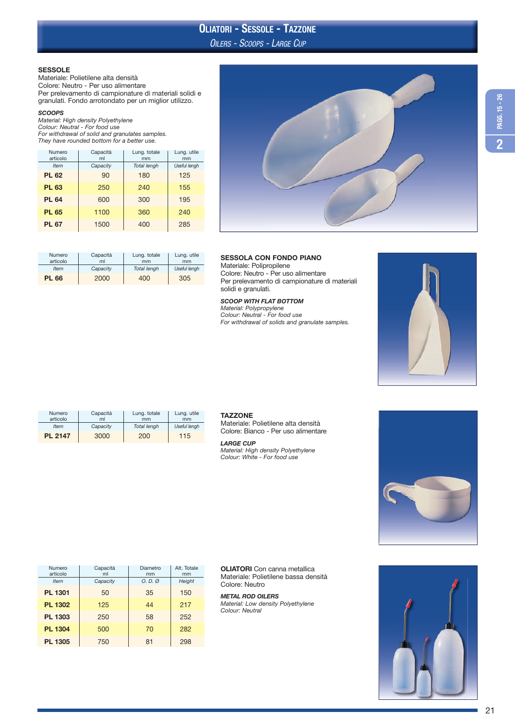# OILERS - SCOOPS - LARGE CUP OLIATORI - SESSOLE - TAZZONE

## SESSOLE

Materiale: Polietilene alta densità Colore: Neutro - Per uso alimentare Per prelevamento di campionature di materiali solidi e granulati. Fondo arrotondato per un miglior utilizzo.

### **SCOOPS**

Material: High density Polyethylene<br>Colour: Neutral - For food use<br>For withdrawal of solid and granulates samples.<br>They have rounded bottom for a better use.

| Numero<br>articolo | Capacità<br>ml | Lung. totale<br>mm | Lung. utile<br>mm |
|--------------------|----------------|--------------------|-------------------|
| <b>Item</b>        | Capacity       | <b>Total lengh</b> | Useful lengh      |
| <b>PL 62</b>       | 90             | 180                | 125               |
| <b>PL 63</b>       | 250            | 240                | 155               |
| <b>PL 64</b>       | 600            | 300                | 195               |
| <b>PL 65</b>       | 1100           | 360                | 240               |
| <b>PL 67</b>       | 1500           | 400                | 285               |

| Numero<br>articolo | Capacità<br>ml | Lung. totale<br>mm | Lung. utile<br>mm |
|--------------------|----------------|--------------------|-------------------|
| <b>Item</b>        | Capacity       | Total lengh        | Useful lengh      |
| <b>PL 66</b>       | 2000           | 400                | 305               |



# SESSOLA CON FONDO PIANO

Materiale: Polipropilene Colore: Neutro - Per uso alimentare Per prelevamento di campionature di materiali solidi e granulati.

SCOOP WITH FLAT BOTTOM Material: Polypropylene Colour: Neutral - For food use For withdrawal of solids and granulate samples.



| <b>Numero</b><br>articolo | Capacità<br>ml | Lung. totale<br>mm | Lung. utile<br>mm |
|---------------------------|----------------|--------------------|-------------------|
| <b>Item</b>               | Capacity       | Total lengh        | Useful lengh      |
| <b>PL 2147</b>            | 3000           | 200                | 115               |

# **TAZZONE**

Materiale: Polietilene alta densità Colore: Bianco - Per uso alimentare

#### LARGE CUP

Material: High density Polyethylene Colour: White - For food use



| Numero<br>articolo<br><b>Item</b> | Capacità<br>ml<br>Capacity | Diametro<br>mm<br>O. D. Q | Alt. Totale<br>mm<br>Height |
|-----------------------------------|----------------------------|---------------------------|-----------------------------|
| <b>PL 1301</b>                    | 50                         | 35                        | 150                         |
| <b>PL 1302</b>                    | 125                        | 44                        | 217                         |
| PL 1303                           | 250                        | 58                        | 252                         |
| <b>PL 1304</b>                    | 500                        | 70                        | 282                         |
| <b>PL 1305</b>                    | 750                        | 81                        | 298                         |

OLIATORI Con canna metallica Materiale: Polietilene bassa densità Colore: Neutro

METAL ROD OILERS Material: Low density Polyethylene Colour: Neutral